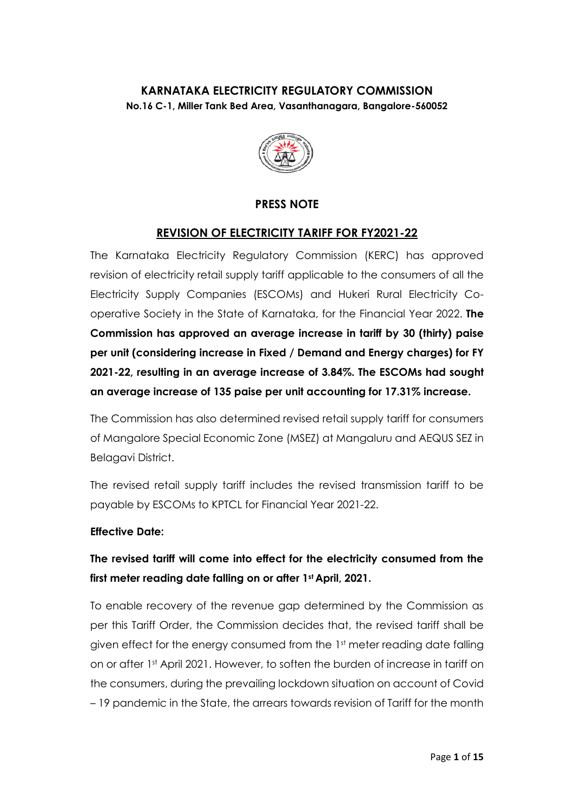## **KARNATAKA ELECTRICITY REGULATORY COMMISSION No.16 C-1, Miller Tank Bed Area, Vasanthanagara, Bangalore-560052**



## **PRESS NOTE**

### **REVISION OF ELECTRICITY TARIFF FOR FY2021-22**

The Karnataka Electricity Regulatory Commission (KERC) has approved revision of electricity retail supply tariff applicable to the consumers of all the Electricity Supply Companies (ESCOMs) and Hukeri Rural Electricity Cooperative Society in the State of Karnataka, for the Financial Year 2022. **The Commission has approved an average increase in tariff by 30 (thirty) paise per unit (considering increase in Fixed / Demand and Energy charges) for FY 2021-22, resulting in an average increase of 3.84%. The ESCOMs had sought an average increase of 135 paise per unit accounting for 17.31% increase.**

The Commission has also determined revised retail supply tariff for consumers of Mangalore Special Economic Zone (MSEZ) at Mangaluru and AEQUS SEZ in Belagavi District.

The revised retail supply tariff includes the revised transmission tariff to be payable by ESCOMs to KPTCL for Financial Year 2021-22.

#### **Effective Date:**

# **The revised tariff will come into effect for the electricity consumed from the first meter reading date falling on or after 1st April, 2021.**

To enable recovery of the revenue gap determined by the Commission as per this Tariff Order, the Commission decides that, the revised tariff shall be given effect for the energy consumed from the 1st meter reading date falling on or after 1st April 2021. However, to soften the burden of increase in tariff on the consumers, during the prevailing lockdown situation on account of Covid – 19 pandemic in the State, the arrears towards revision of Tariff for the month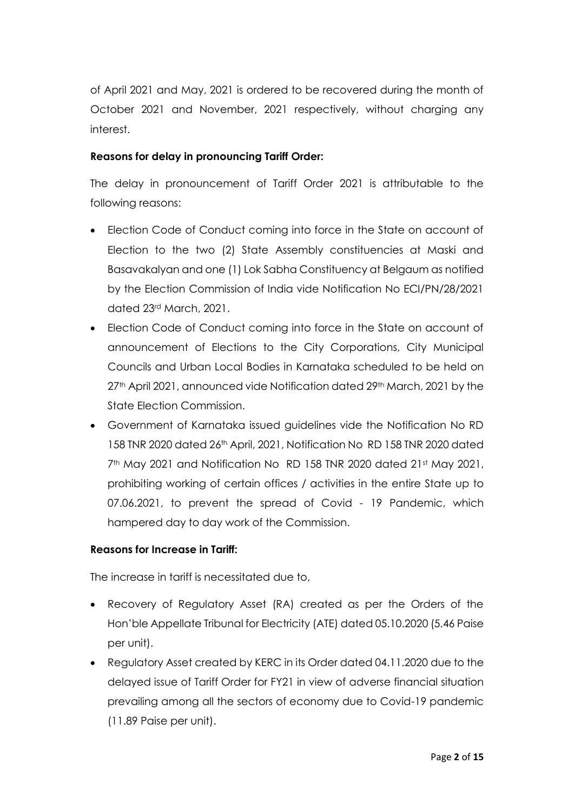of April 2021 and May, 2021 is ordered to be recovered during the month of October 2021 and November, 2021 respectively, without charging any interest.

### **Reasons for delay in pronouncing Tariff Order:**

The delay in pronouncement of Tariff Order 2021 is attributable to the following reasons:

- Election Code of Conduct coming into force in the State on account of Election to the two (2) State Assembly constituencies at Maski and Basavakalyan and one (1) Lok Sabha Constituency at Belgaum as notified by the Election Commission of India vide Notification No ECI/PN/28/2021 dated 23rd March, 2021.
- Election Code of Conduct coming into force in the State on account of announcement of Elections to the City Corporations, City Municipal Councils and Urban Local Bodies in Karnataka scheduled to be held on 27<sup>th</sup> April 2021, announced vide Notification dated 29<sup>th</sup> March, 2021 by the State Election Commission.
- Government of Karnataka issued guidelines vide the Notification No RD 158 TNR 2020 dated 26th April, 2021, Notification No RD 158 TNR 2020 dated 7<sup>th</sup> May 2021 and Notification No RD 158 TNR 2020 dated 21st May 2021, prohibiting working of certain offices / activities in the entire State up to 07.06.2021, to prevent the spread of Covid - 19 Pandemic, which hampered day to day work of the Commission.

#### **Reasons for Increase in Tariff:**

The increase in tariff is necessitated due to,

- Recovery of Regulatory Asset (RA) created as per the Orders of the Hon'ble Appellate Tribunal for Electricity (ATE) dated 05.10.2020 (5.46 Paise per unit).
- Regulatory Asset created by KERC in its Order dated 04.11.2020 due to the delayed issue of Tariff Order for FY21 in view of adverse financial situation prevailing among all the sectors of economy due to Covid-19 pandemic (11.89 Paise per unit).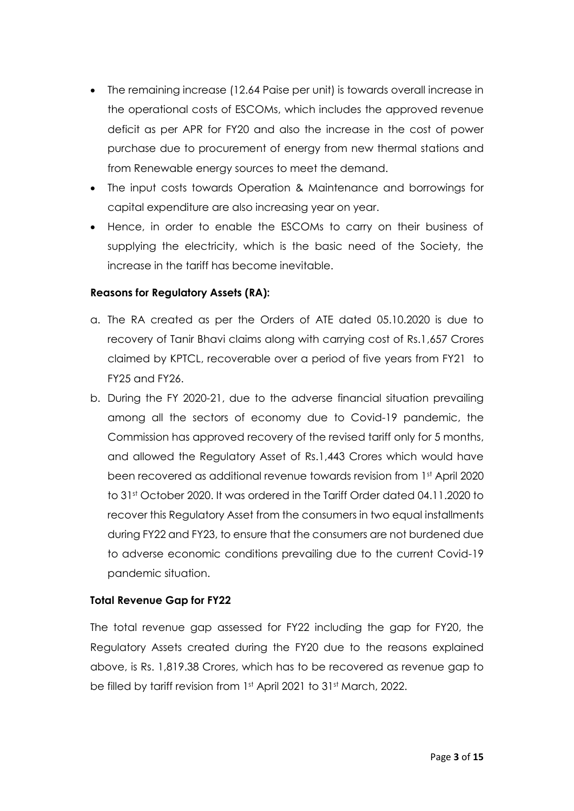- The remaining increase (12.64 Paise per unit) is towards overall increase in the operational costs of ESCOMs, which includes the approved revenue deficit as per APR for FY20 and also the increase in the cost of power purchase due to procurement of energy from new thermal stations and from Renewable energy sources to meet the demand.
- The input costs towards Operation & Maintenance and borrowings for capital expenditure are also increasing year on year.
- Hence, in order to enable the ESCOMs to carry on their business of supplying the electricity, which is the basic need of the Society, the increase in the tariff has become inevitable.

#### **Reasons for Regulatory Assets (RA):**

- a. The RA created as per the Orders of ATE dated 05.10.2020 is due to recovery of Tanir Bhavi claims along with carrying cost of Rs.1,657 Crores claimed by KPTCL, recoverable over a period of five years from FY21 to FY25 and FY26.
- b. During the FY 2020-21, due to the adverse financial situation prevailing among all the sectors of economy due to Covid-19 pandemic, the Commission has approved recovery of the revised tariff only for 5 months, and allowed the Regulatory Asset of Rs.1,443 Crores which would have been recovered as additional revenue towards revision from 1st April 2020 to 31st October 2020. It was ordered in the Tariff Order dated 04.11.2020 to recover this Regulatory Asset from the consumers in two equal installments during FY22 and FY23, to ensure that the consumers are not burdened due to adverse economic conditions prevailing due to the current Covid-19 pandemic situation.

#### **Total Revenue Gap for FY22**

The total revenue gap assessed for FY22 including the gap for FY20, the Regulatory Assets created during the FY20 due to the reasons explained above, is Rs. 1,819.38 Crores, which has to be recovered as revenue gap to be filled by tariff revision from 1st April 2021 to 31st March, 2022.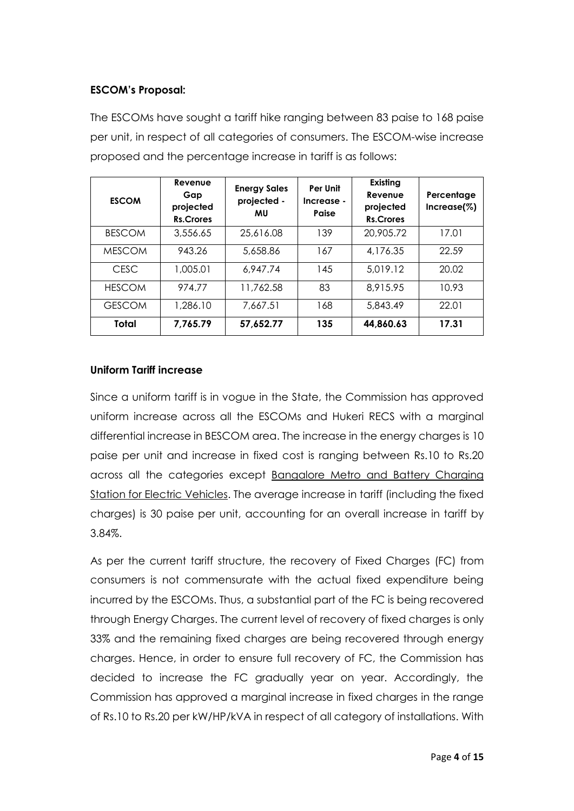#### **ESCOM's Proposal:**

| <b>ESCOM</b>  | Revenue<br>Gap<br>projected<br><b>Rs.Crores</b> | <b>Energy Sales</b><br>projected -<br>MU | Per Unit<br>Increase -<br>Paise | Existing<br>Revenue<br>projected<br><b>Rs.Crores</b> | Percentage<br>$Increase$ $%)$ |
|---------------|-------------------------------------------------|------------------------------------------|---------------------------------|------------------------------------------------------|-------------------------------|
| <b>BESCOM</b> | 3,556.65                                        | 25,616.08                                | 139                             | 20,905.72                                            | 17.01                         |
| <b>MESCOM</b> | 943.26                                          | 5,658.86                                 | 167                             | 4,176.35                                             | 22.59                         |
| <b>CESC</b>   | 1,005.01                                        | 6,947.74                                 | 145                             | 5,019.12                                             | 20.02                         |
| <b>HESCOM</b> | 974.77                                          | 11,762.58                                | 83                              | 8,915.95                                             | 10.93                         |
| <b>GESCOM</b> | 1,286.10                                        | 7,667.51                                 | 168                             | 5,843.49                                             | 22.01                         |
| Total         | 7,765.79                                        | 57,652.77                                | 135                             | 44,860.63                                            | 17.31                         |

The ESCOMs have sought a tariff hike ranging between 83 paise to 168 paise per unit, in respect of all categories of consumers. The ESCOM-wise increase proposed and the percentage increase in tariff is as follows:

#### **Uniform Tariff increase**

Since a uniform tariff is in vogue in the State, the Commission has approved uniform increase across all the ESCOMs and Hukeri RECS with a marginal differential increase in BESCOM area. The increase in the energy charges is 10 paise per unit and increase in fixed cost is ranging between Rs.10 to Rs.20 across all the categories except Bangalore Metro and Battery Charging Station for Electric Vehicles. The average increase in tariff (including the fixed charges) is 30 paise per unit, accounting for an overall increase in tariff by 3.84%.

As per the current tariff structure, the recovery of Fixed Charges (FC) from consumers is not commensurate with the actual fixed expenditure being incurred by the ESCOMs. Thus, a substantial part of the FC is being recovered through Energy Charges. The current level of recovery of fixed charges is only 33% and the remaining fixed charges are being recovered through energy charges. Hence, in order to ensure full recovery of FC, the Commission has decided to increase the FC gradually year on year. Accordingly, the Commission has approved a marginal increase in fixed charges in the range of Rs.10 to Rs.20 per kW/HP/kVA in respect of all category of installations. With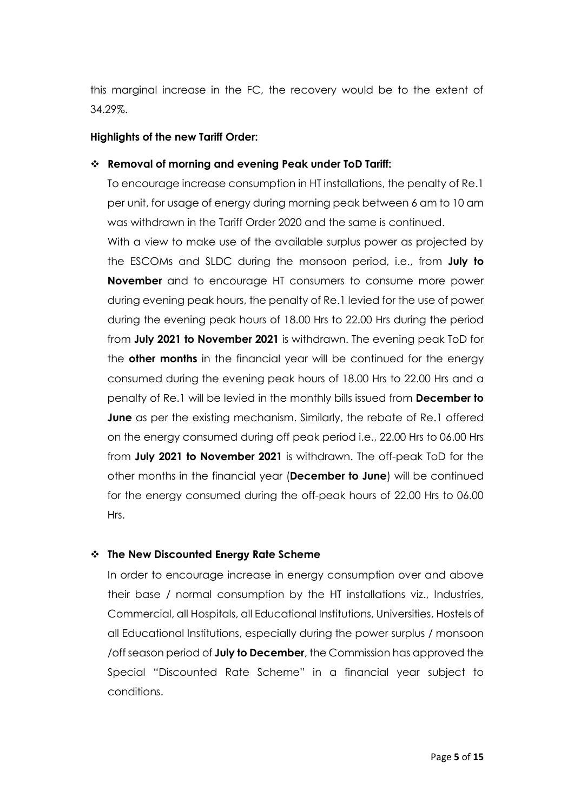this marginal increase in the FC, the recovery would be to the extent of 34.29%.

#### **Highlights of the new Tariff Order:**

#### **Removal of morning and evening Peak under ToD Tariff:**

To encourage increase consumption in HT installations, the penalty of Re.1 per unit, for usage of energy during morning peak between 6 am to 10 am was withdrawn in the Tariff Order 2020 and the same is continued.

With a view to make use of the available surplus power as projected by the ESCOMs and SLDC during the monsoon period, i.e., from **July to November** and to encourage HT consumers to consume more power during evening peak hours, the penalty of Re.1 levied for the use of power during the evening peak hours of 18.00 Hrs to 22.00 Hrs during the period from **July 2021 to November 2021** is withdrawn. The evening peak ToD for the **other months** in the financial year will be continued for the energy consumed during the evening peak hours of 18.00 Hrs to 22.00 Hrs and a penalty of Re.1 will be levied in the monthly bills issued from **December to June** as per the existing mechanism. Similarly, the rebate of Re.1 offered on the energy consumed during off peak period i.e., 22.00 Hrs to 06.00 Hrs from **July 2021 to November 2021** is withdrawn. The off-peak ToD for the other months in the financial year (**December to June**) will be continued for the energy consumed during the off-peak hours of 22.00 Hrs to 06.00 Hrs.

#### **The New Discounted Energy Rate Scheme**

In order to encourage increase in energy consumption over and above their base / normal consumption by the HT installations viz., Industries, Commercial, all Hospitals, all Educational Institutions, Universities, Hostels of all Educational Institutions, especially during the power surplus / monsoon /off season period of **July to December**, the Commission has approved the Special "Discounted Rate Scheme" in a financial year subject to conditions.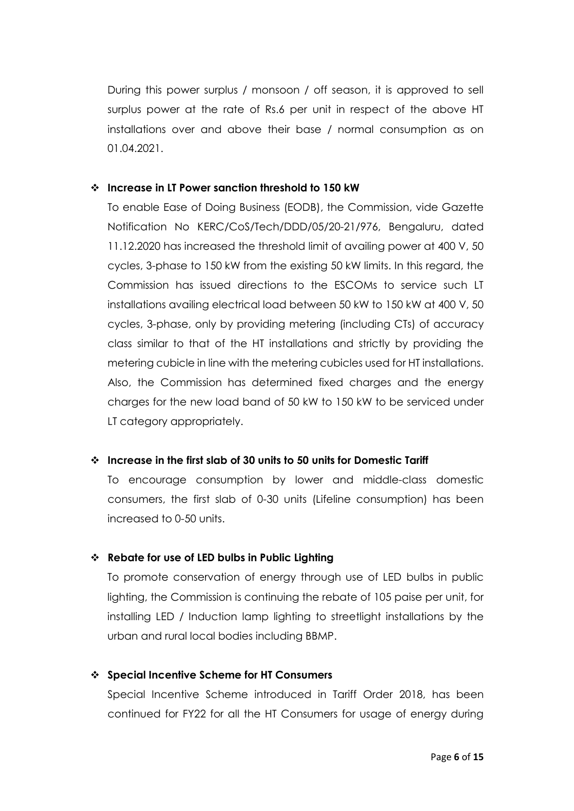During this power surplus / monsoon / off season, it is approved to sell surplus power at the rate of Rs.6 per unit in respect of the above HT installations over and above their base / normal consumption as on 01.04.2021.

#### **Increase in LT Power sanction threshold to 150 kW**

To enable Ease of Doing Business (EODB), the Commission, vide Gazette Notification No KERC/CoS/Tech/DDD/05/20-21/976, Bengaluru, dated 11.12.2020 has increased the threshold limit of availing power at 400 V, 50 cycles, 3-phase to 150 kW from the existing 50 kW limits. In this regard, the Commission has issued directions to the ESCOMs to service such LT installations availing electrical load between 50 kW to 150 kW at 400 V, 50 cycles, 3-phase, only by providing metering (including CTs) of accuracy class similar to that of the HT installations and strictly by providing the metering cubicle in line with the metering cubicles used for HT installations. Also, the Commission has determined fixed charges and the energy charges for the new load band of 50 kW to 150 kW to be serviced under LT category appropriately.

#### **Increase in the first slab of 30 units to 50 units for Domestic Tariff**

To encourage consumption by lower and middle-class domestic consumers, the first slab of 0-30 units (Lifeline consumption) has been increased to 0-50 units.

#### **Rebate for use of LED bulbs in Public Lighting**

To promote conservation of energy through use of LED bulbs in public lighting, the Commission is continuing the rebate of 105 paise per unit, for installing LED / Induction lamp lighting to streetlight installations by the urban and rural local bodies including BBMP.

## **Special Incentive Scheme for HT Consumers**

Special Incentive Scheme introduced in Tariff Order 2018, has been continued for FY22 for all the HT Consumers for usage of energy during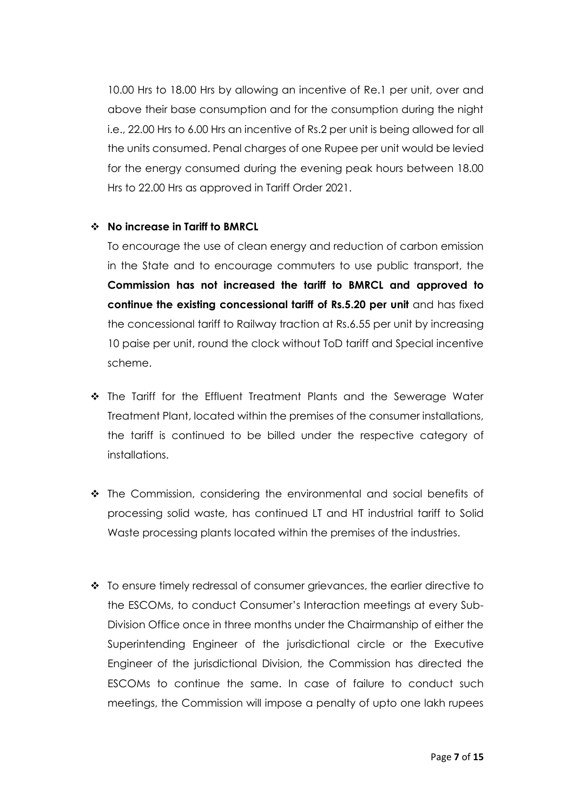10.00 Hrs to 18.00 Hrs by allowing an incentive of Re.1 per unit, over and above their base consumption and for the consumption during the night i.e., 22.00 Hrs to 6.00 Hrs an incentive of Rs.2 per unit is being allowed for all the units consumed. Penal charges of one Rupee per unit would be levied for the energy consumed during the evening peak hours between 18.00 Hrs to 22.00 Hrs as approved in Tariff Order 2021.

#### **No increase in Tariff to BMRCL**

To encourage the use of clean energy and reduction of carbon emission in the State and to encourage commuters to use public transport, the **Commission has not increased the tariff to BMRCL and approved to continue the existing concessional tariff of Rs.5.20 per unit** and has fixed the concessional tariff to Railway traction at Rs.6.55 per unit by increasing 10 paise per unit, round the clock without ToD tariff and Special incentive scheme.

- \* The Tariff for the Effluent Treatment Plants and the Sewerage Water Treatment Plant, located within the premises of the consumer installations, the tariff is continued to be billed under the respective category of installations.
- The Commission, considering the environmental and social benefits of processing solid waste, has continued LT and HT industrial tariff to Solid Waste processing plants located within the premises of the industries.
- $\cdot \cdot$  To ensure timely redressal of consumer grievances, the earlier directive to the ESCOMs, to conduct Consumer's Interaction meetings at every Sub-Division Office once in three months under the Chairmanship of either the Superintending Engineer of the jurisdictional circle or the Executive Engineer of the jurisdictional Division, the Commission has directed the ESCOMs to continue the same. In case of failure to conduct such meetings, the Commission will impose a penalty of upto one lakh rupees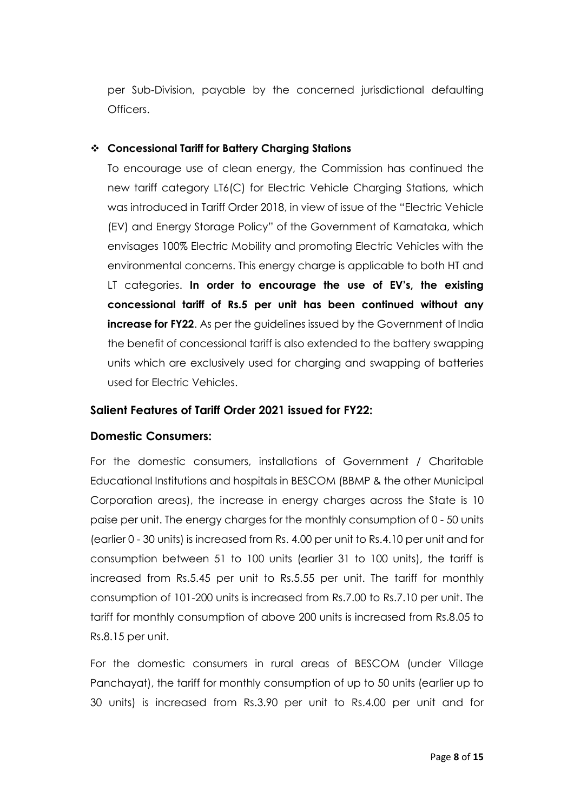per Sub-Division, payable by the concerned jurisdictional defaulting Officers.

#### **Concessional Tariff for Battery Charging Stations**

To encourage use of clean energy, the Commission has continued the new tariff category LT6(C) for Electric Vehicle Charging Stations, which was introduced in Tariff Order 2018, in view of issue of the "Electric Vehicle (EV) and Energy Storage Policy" of the Government of Karnataka, which envisages 100% Electric Mobility and promoting Electric Vehicles with the environmental concerns. This energy charge is applicable to both HT and LT categories. **In order to encourage the use of EV's, the existing concessional tariff of Rs.5 per unit has been continued without any increase for FY22**. As per the guidelines issued by the Government of India the benefit of concessional tariff is also extended to the battery swapping units which are exclusively used for charging and swapping of batteries used for Electric Vehicles.

## **Salient Features of Tariff Order 2021 issued for FY22:**

#### **Domestic Consumers:**

For the domestic consumers, installations of Government / Charitable Educational Institutions and hospitals in BESCOM (BBMP & the other Municipal Corporation areas), the increase in energy charges across the State is 10 paise per unit. The energy charges for the monthly consumption of 0 - 50 units (earlier 0 - 30 units) is increased from Rs. 4.00 per unit to Rs.4.10 per unit and for consumption between 51 to 100 units (earlier 31 to 100 units), the tariff is increased from Rs.5.45 per unit to Rs.5.55 per unit. The tariff for monthly consumption of 101-200 units is increased from Rs.7.00 to Rs.7.10 per unit. The tariff for monthly consumption of above 200 units is increased from Rs.8.05 to Rs.8.15 per unit.

For the domestic consumers in rural areas of BESCOM (under Village Panchayat), the tariff for monthly consumption of up to 50 units (earlier up to 30 units) is increased from Rs.3.90 per unit to Rs.4.00 per unit and for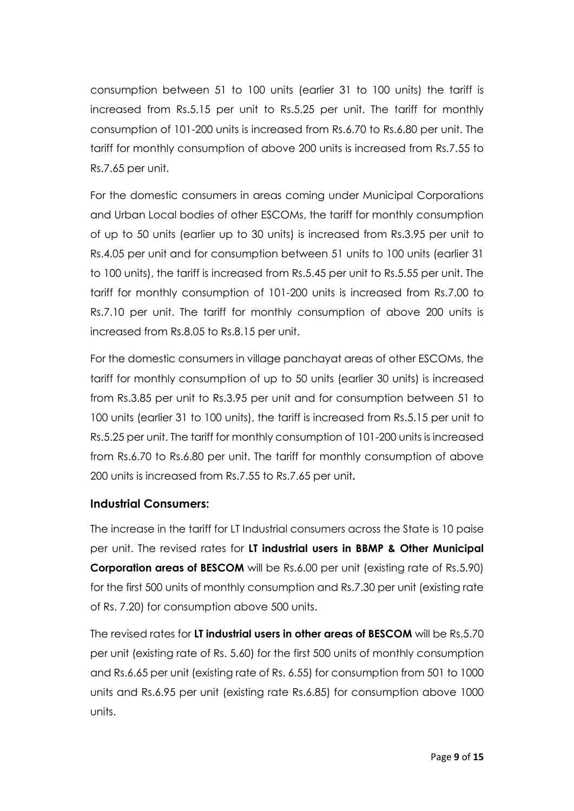consumption between 51 to 100 units (earlier 31 to 100 units) the tariff is increased from Rs.5.15 per unit to Rs.5.25 per unit. The tariff for monthly consumption of 101-200 units is increased from Rs.6.70 to Rs.6.80 per unit. The tariff for monthly consumption of above 200 units is increased from Rs.7.55 to Rs.7.65 per unit.

For the domestic consumers in areas coming under Municipal Corporations and Urban Local bodies of other ESCOMs, the tariff for monthly consumption of up to 50 units (earlier up to 30 units) is increased from Rs.3.95 per unit to Rs.4.05 per unit and for consumption between 51 units to 100 units (earlier 31 to 100 units), the tariff is increased from Rs.5.45 per unit to Rs.5.55 per unit. The tariff for monthly consumption of 101-200 units is increased from Rs.7.00 to Rs.7.10 per unit. The tariff for monthly consumption of above 200 units is increased from Rs.8.05 to Rs.8.15 per unit.

For the domestic consumers in village panchayat areas of other ESCOMs, the tariff for monthly consumption of up to 50 units (earlier 30 units) is increased from Rs.3.85 per unit to Rs.3.95 per unit and for consumption between 51 to 100 units (earlier 31 to 100 units), the tariff is increased from Rs.5.15 per unit to Rs.5.25 per unit. The tariff for monthly consumption of 101-200 units is increased from Rs.6.70 to Rs.6.80 per unit. The tariff for monthly consumption of above 200 units is increased from Rs.7.55 to Rs.7.65 per unit**.**

## **Industrial Consumers:**

The increase in the tariff for LT Industrial consumers across the State is 10 paise per unit. The revised rates for **LT industrial users in BBMP & Other Municipal Corporation areas of BESCOM** will be Rs.6.00 per unit (existing rate of Rs.5.90) for the first 500 units of monthly consumption and Rs.7.30 per unit (existing rate of Rs. 7.20) for consumption above 500 units.

The revised rates for **LT industrial users in other areas of BESCOM** will be Rs.5.70 per unit (existing rate of Rs. 5.60) for the first 500 units of monthly consumption and Rs.6.65 per unit (existing rate of Rs. 6.55) for consumption from 501 to 1000 units and Rs.6.95 per unit (existing rate Rs.6.85) for consumption above 1000 units.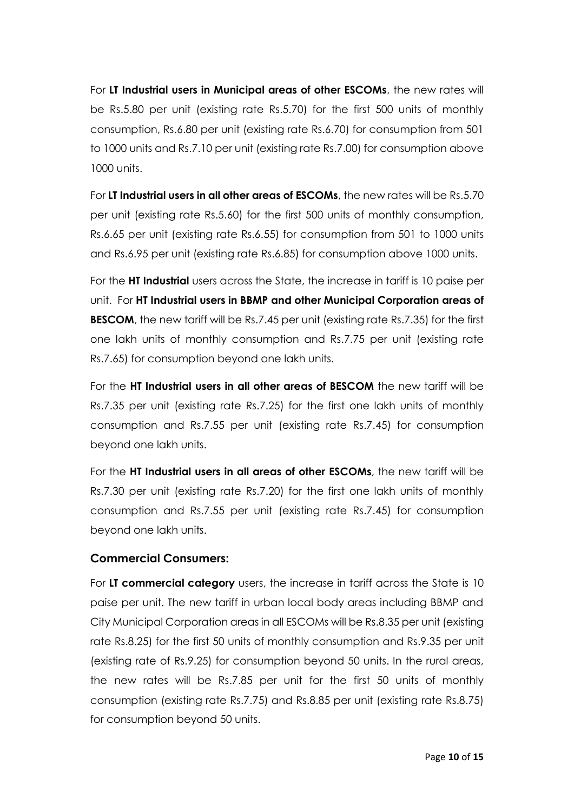For **LT Industrial users in Municipal areas of other ESCOMs**, the new rates will be Rs.5.80 per unit (existing rate Rs.5.70) for the first 500 units of monthly consumption, Rs.6.80 per unit (existing rate Rs.6.70) for consumption from 501 to 1000 units and Rs.7.10 per unit (existing rate Rs.7.00) for consumption above 1000 units.

For **LT Industrial users in all other areas of ESCOMs**, the new rates will be Rs.5.70 per unit (existing rate Rs.5.60) for the first 500 units of monthly consumption, Rs.6.65 per unit (existing rate Rs.6.55) for consumption from 501 to 1000 units and Rs.6.95 per unit (existing rate Rs.6.85) for consumption above 1000 units.

For the **HT Industrial** users across the State, the increase in tariff is 10 paise per unit. For **HT Industrial users in BBMP and other Municipal Corporation areas of BESCOM**, the new tariff will be Rs.7.45 per unit (existing rate Rs.7.35) for the first one lakh units of monthly consumption and Rs.7.75 per unit (existing rate Rs.7.65) for consumption beyond one lakh units.

For the **HT Industrial users in all other areas of BESCOM** the new tariff will be Rs.7.35 per unit (existing rate Rs.7.25) for the first one lakh units of monthly consumption and Rs.7.55 per unit (existing rate Rs.7.45) for consumption beyond one lakh units.

For the **HT Industrial users in all areas of other ESCOMs**, the new tariff will be Rs.7.30 per unit (existing rate Rs.7.20) for the first one lakh units of monthly consumption and Rs.7.55 per unit (existing rate Rs.7.45) for consumption beyond one lakh units.

## **Commercial Consumers:**

For **LT commercial category** users, the increase in tariff across the State is 10 paise per unit. The new tariff in urban local body areas including BBMP and City Municipal Corporation areas in all ESCOMs will be Rs.8.35 per unit (existing rate Rs.8.25) for the first 50 units of monthly consumption and Rs.9.35 per unit (existing rate of Rs.9.25) for consumption beyond 50 units. In the rural areas, the new rates will be Rs.7.85 per unit for the first 50 units of monthly consumption (existing rate Rs.7.75) and Rs.8.85 per unit (existing rate Rs.8.75) for consumption beyond 50 units.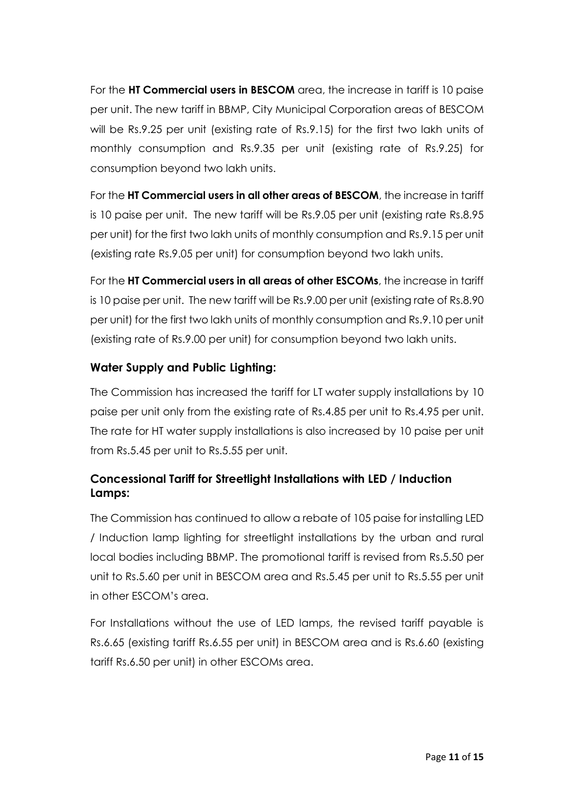For the **HT Commercial users in BESCOM** area, the increase in tariff is 10 paise per unit. The new tariff in BBMP, City Municipal Corporation areas of BESCOM will be Rs.9.25 per unit (existing rate of Rs.9.15) for the first two lakh units of monthly consumption and Rs.9.35 per unit (existing rate of Rs.9.25) for consumption beyond two lakh units.

For the **HT Commercial users in all other areas of BESCOM**, the increase in tariff is 10 paise per unit. The new tariff will be Rs.9.05 per unit (existing rate Rs.8.95 per unit) for the first two lakh units of monthly consumption and Rs.9.15 per unit (existing rate Rs.9.05 per unit) for consumption beyond two lakh units.

For the **HT Commercial users in all areas of other ESCOMs**, the increase in tariff is 10 paise per unit. The new tariff will be Rs.9.00 per unit (existing rate of Rs.8.90 per unit) for the first two lakh units of monthly consumption and Rs.9.10 per unit (existing rate of Rs.9.00 per unit) for consumption beyond two lakh units.

# **Water Supply and Public Lighting:**

The Commission has increased the tariff for LT water supply installations by 10 paise per unit only from the existing rate of Rs.4.85 per unit to Rs.4.95 per unit. The rate for HT water supply installations is also increased by 10 paise per unit from Rs.5.45 per unit to Rs.5.55 per unit.

# **Concessional Tariff for Streetlight Installations with LED / Induction Lamps:**

The Commission has continued to allow a rebate of 105 paise for installing LED / Induction lamp lighting for streetlight installations by the urban and rural local bodies including BBMP. The promotional tariff is revised from Rs.5.50 per unit to Rs.5.60 per unit in BESCOM area and Rs.5.45 per unit to Rs.5.55 per unit in other ESCOM's area.

For Installations without the use of LED lamps, the revised tariff payable is Rs.6.65 (existing tariff Rs.6.55 per unit) in BESCOM area and is Rs.6.60 (existing tariff Rs.6.50 per unit) in other ESCOMs area.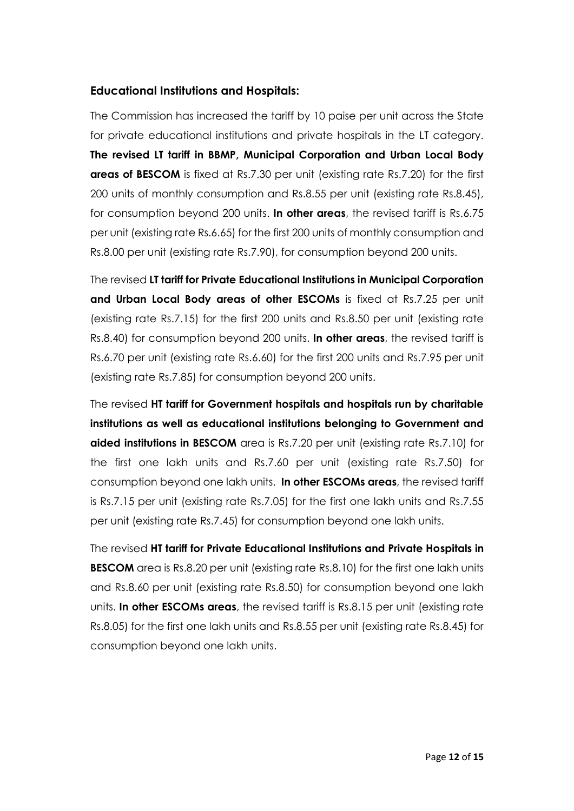#### **Educational Institutions and Hospitals:**

The Commission has increased the tariff by 10 paise per unit across the State for private educational institutions and private hospitals in the LT category. **The revised LT tariff in BBMP, Municipal Corporation and Urban Local Body areas of BESCOM** is fixed at Rs.7.30 per unit (existing rate Rs.7.20) for the first 200 units of monthly consumption and Rs.8.55 per unit (existing rate Rs.8.45), for consumption beyond 200 units. **In other areas**, the revised tariff is Rs.6.75 per unit (existing rate Rs.6.65) for the first 200 units of monthly consumption and Rs.8.00 per unit (existing rate Rs.7.90), for consumption beyond 200 units.

The revised **LT tariff for Private Educational Institutions in Municipal Corporation and Urban Local Body areas of other ESCOMs** is fixed at Rs.7.25 per unit (existing rate Rs.7.15) for the first 200 units and Rs.8.50 per unit (existing rate Rs.8.40) for consumption beyond 200 units. **In other areas**, the revised tariff is Rs.6.70 per unit (existing rate Rs.6.60) for the first 200 units and Rs.7.95 per unit (existing rate Rs.7.85) for consumption beyond 200 units.

The revised **HT tariff for Government hospitals and hospitals run by charitable institutions as well as educational institutions belonging to Government and aided institutions in BESCOM** area is Rs.7.20 per unit (existing rate Rs.7.10) for the first one lakh units and Rs.7.60 per unit (existing rate Rs.7.50) for consumption beyond one lakh units. **In other ESCOMs areas**, the revised tariff is Rs.7.15 per unit (existing rate Rs.7.05) for the first one lakh units and Rs.7.55 per unit (existing rate Rs.7.45) for consumption beyond one lakh units.

The revised **HT tariff for Private Educational Institutions and Private Hospitals in BESCOM** area is Rs.8.20 per unit (existing rate Rs.8.10) for the first one lakh units and Rs.8.60 per unit (existing rate Rs.8.50) for consumption beyond one lakh units. **In other ESCOMs areas**, the revised tariff is Rs.8.15 per unit (existing rate Rs.8.05) for the first one lakh units and Rs.8.55 per unit (existing rate Rs.8.45) for consumption beyond one lakh units.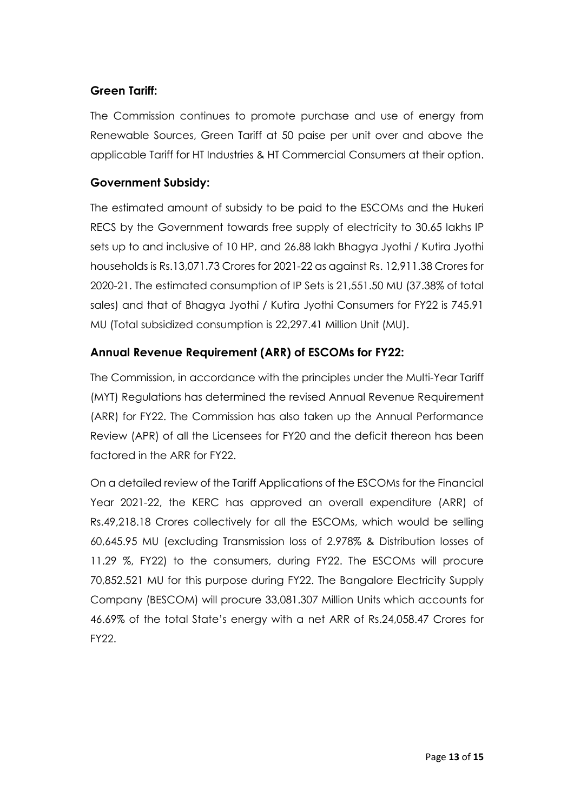## **Green Tariff:**

The Commission continues to promote purchase and use of energy from Renewable Sources, Green Tariff at 50 paise per unit over and above the applicable Tariff for HT Industries & HT Commercial Consumers at their option.

## **Government Subsidy:**

The estimated amount of subsidy to be paid to the ESCOMs and the Hukeri RECS by the Government towards free supply of electricity to 30.65 lakhs IP sets up to and inclusive of 10 HP, and 26.88 lakh Bhagya Jyothi / Kutira Jyothi households is Rs.13,071.73 Crores for 2021-22 as against Rs. 12,911.38 Crores for 2020-21. The estimated consumption of IP Sets is 21,551.50 MU (37.38% of total sales) and that of Bhagya Jyothi / Kutira Jyothi Consumers for FY22 is 745.91 MU (Total subsidized consumption is 22,297.41 Million Unit (MU).

## **Annual Revenue Requirement (ARR) of ESCOMs for FY22:**

The Commission, in accordance with the principles under the Multi-Year Tariff (MYT) Regulations has determined the revised Annual Revenue Requirement (ARR) for FY22. The Commission has also taken up the Annual Performance Review (APR) of all the Licensees for FY20 and the deficit thereon has been factored in the ARR for FY22.

On a detailed review of the Tariff Applications of the ESCOMs for the Financial Year 2021-22, the KERC has approved an overall expenditure (ARR) of Rs.49,218.18 Crores collectively for all the ESCOMs, which would be selling 60,645.95 MU (excluding Transmission loss of 2.978% & Distribution losses of 11.29 %, FY22) to the consumers, during FY22. The ESCOMs will procure 70,852.521 MU for this purpose during FY22. The Bangalore Electricity Supply Company (BESCOM) will procure 33,081.307 Million Units which accounts for 46.69% of the total State's energy with a net ARR of Rs.24,058.47 Crores for FY22.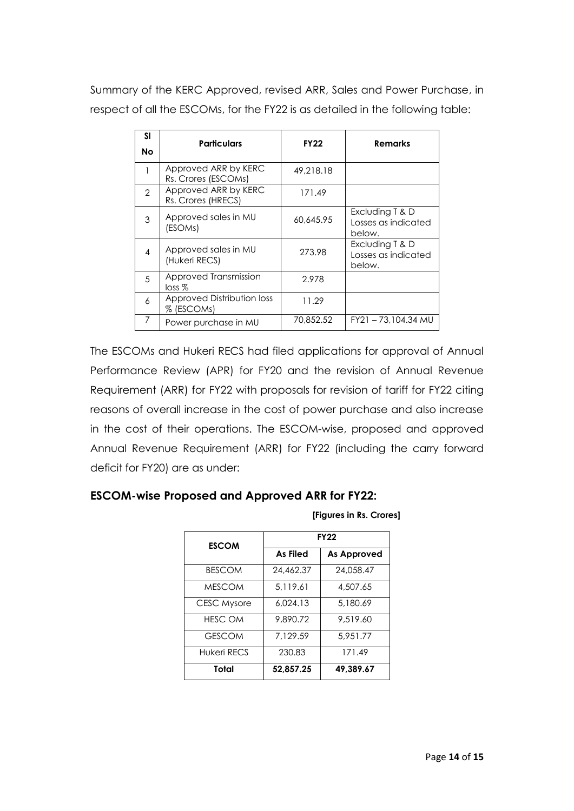Summary of the KERC Approved, revised ARR, Sales and Power Purchase, in respect of all the ESCOMs, for the FY22 is as detailed in the following table:

| SI            | <b>Particulars</b>                          | <b>FY22</b> | <b>Remarks</b>                                   |  |
|---------------|---------------------------------------------|-------------|--------------------------------------------------|--|
| <b>No</b>     |                                             |             |                                                  |  |
|               | Approved ARR by KERC<br>Rs. Crores (ESCOMs) | 49,218.18   |                                                  |  |
| $\mathcal{P}$ | Approved ARR by KERC<br>Rs. Crores (HRECS)  | 171.49      |                                                  |  |
| 3             | Approved sales in MU<br>(ESOMs)             | 60,645.95   | Excluding T & D<br>Losses as indicated<br>below. |  |
| 4             | Approved sales in MU<br>(Hukeri RECS)       | 273.98      | Excluding T & D<br>Losses as indicated<br>below. |  |
| .5            | Approved Transmission<br>loss %             | 2.978       |                                                  |  |
| 6             | Approved Distribution loss<br>% (ESCOMs)    | 11.29       |                                                  |  |
| 7             | Power purchase in MU                        | 70,852.52   | FY21-73,104.34 MU                                |  |

The ESCOMs and Hukeri RECS had filed applications for approval of Annual Performance Review (APR) for FY20 and the revision of Annual Revenue Requirement (ARR) for FY22 with proposals for revision of tariff for FY22 citing reasons of overall increase in the cost of power purchase and also increase in the cost of their operations. The ESCOM-wise, proposed and approved Annual Revenue Requirement (ARR) for FY22 (including the carry forward deficit for FY20) are as under:

## **ESCOM-wise Proposed and Approved ARR for FY22:**

| <b>ESCOM</b>       | <b>FY22</b> |                    |  |
|--------------------|-------------|--------------------|--|
|                    | As Filed    | <b>As Approved</b> |  |
| <b>BESCOM</b>      | 24,462.37   | 24,058.47          |  |
| <b>MESCOM</b>      | 5.119.61    | 4.507.65           |  |
| <b>CESC Mysore</b> | 6.024.13    | 5,180.69           |  |
| <b>HESC OM</b>     | 9,890.72    | 9,519.60           |  |
| <b>GESCOM</b>      | 7.129.59    | 5.951.77           |  |
| Hukeri RECS        | 230.83      | 171.49             |  |
| Total              | 52,857.25   | 49.389.67          |  |

#### **[Figures in Rs. Crores]**